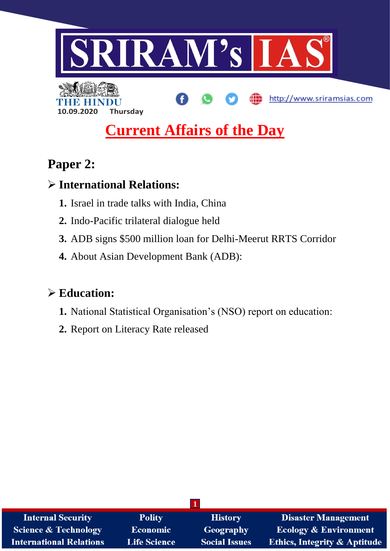

# **Current Affairs of the Day**

# **Paper 2:**

# **International Relations:**

**10.09.2020 Thursday**

- **1.** Israel in trade talks with India, China
- **2.** Indo-Pacific trilateral dialogue held
- **3.** ADB signs \$500 million loan for Delhi-Meerut RRTS Corridor
- **4.** About Asian Development Bank (ADB):

# **Education:**

- **1.** National Statistical Organisation's (NSO) report on education:
- **2.** Report on Literacy Rate released

| <b>Internal Security</b>        | <b>Polity</b>       | <b>History</b>       | <b>Disaster Management</b>              |
|---------------------------------|---------------------|----------------------|-----------------------------------------|
| <b>Science &amp; Technology</b> | <b>Economic</b>     | <b>Geography</b>     | <b>Ecology &amp; Environment</b>        |
| <b>International Relations</b>  | <b>Life Science</b> | <b>Social Issues</b> | <b>Ethics, Integrity &amp; Aptitude</b> |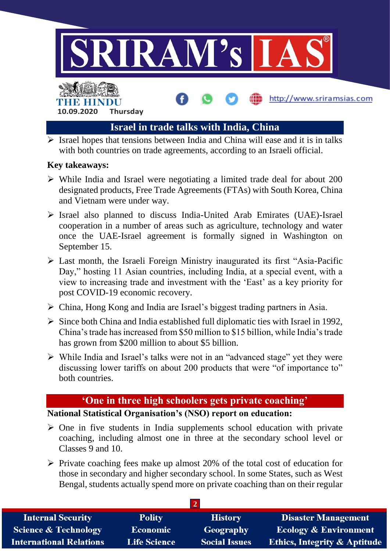

 $\triangleright$  Israel hopes that tensions between India and China will ease and it is in talks with both countries on trade agreements, according to an Israeli official.

### **Key takeaways:**

- $\triangleright$  While India and Israel were negotiating a limited trade deal for about 200 designated products, Free Trade Agreements (FTAs) with South Korea, China and Vietnam were under way.
- Israel also planned to discuss India-United Arab Emirates (UAE)-Israel cooperation in a number of areas such as agriculture, technology and water once the UAE-Israel agreement is formally signed in Washington on September 15.
- Last month, the Israeli Foreign Ministry inaugurated its first "Asia-Pacific Day," hosting 11 Asian countries, including India, at a special event, with a view to increasing trade and investment with the 'East' as a key priority for post COVID-19 economic recovery.
- China, Hong Kong and India are Israel's biggest trading partners in Asia.
- $\triangleright$  Since both China and India established full diplomatic ties with Israel in 1992, China's trade has increased from \$50 million to \$15 billion, while India's trade has grown from \$200 million to about \$5 billion.
- $\triangleright$  While India and Israel's talks were not in an "advanced stage" yet they were discussing lower tariffs on about 200 products that were "of importance to" both countries.

# **'One in three high schoolers gets private coaching'**

## **National Statistical Organisation's (NSO) report on education:**

- $\triangleright$  One in five students in India supplements school education with private coaching, including almost one in three at the secondary school level or Classes 9 and 10.
- $\triangleright$  Private coaching fees make up almost 20% of the total cost of education for those in secondary and higher secondary school. In some States, such as West Bengal, students actually spend more on private coaching than on their regular

| <b>Internal Security</b>        | <b>Polity</b>       | <b>History</b>       | <b>Disaster Management</b>              |  |
|---------------------------------|---------------------|----------------------|-----------------------------------------|--|
| <b>Science &amp; Technology</b> | <b>Economic</b>     | Geography            | <b>Ecology &amp; Environment</b>        |  |
| <b>International Relations</b>  | <b>Life Science</b> | <b>Social Issues</b> | <b>Ethics, Integrity &amp; Aptitude</b> |  |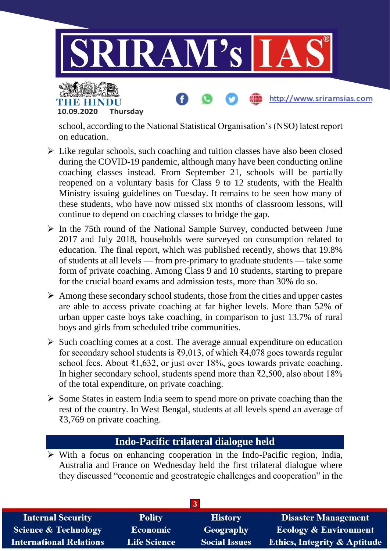

school, according to the National Statistical Organisation's (NSO) latest report on education.

**10.09.2020 Thursday**

THE BELLET

- $\triangleright$  Like regular schools, such coaching and tuition classes have also been closed during the COVID-19 pandemic, although many have been conducting online coaching classes instead. From September 21, schools will be partially reopened on a voluntary basis for Class 9 to 12 students, with the Health Ministry issuing guidelines on Tuesday. It remains to be seen how many of these students, who have now missed six months of classroom lessons, will continue to depend on coaching classes to bridge the gap.
- $\triangleright$  In the 75th round of the National Sample Survey, conducted between June 2017 and July 2018, households were surveyed on consumption related to education. The final report, which was published recently, shows that 19.8% of students at all levels — from pre-primary to graduate students — take some form of private coaching. Among Class 9 and 10 students, starting to prepare for the crucial board exams and admission tests, more than 30% do so.
- $\triangleright$  Among these secondary school students, those from the cities and upper castes are able to access private coaching at far higher levels. More than 52% of urban upper caste boys take coaching, in comparison to just 13.7% of rural boys and girls from scheduled tribe communities.
- $\triangleright$  Such coaching comes at a cost. The average annual expenditure on education for secondary school students is ₹9,013, of which ₹4,078 goes towards regular school fees. About ₹1,632, or just over 18%, goes towards private coaching. In higher secondary school, students spend more than  $\overline{22,500}$ , also about 18% of the total expenditure, on private coaching.
- $\triangleright$  Some States in eastern India seem to spend more on private coaching than the rest of the country. In West Bengal, students at all levels spend an average of ₹3,769 on private coaching.

## **Indo-Pacific trilateral dialogue held**

 $\triangleright$  With a focus on enhancing cooperation in the Indo-Pacific region, India, Australia and France on Wednesday held the first trilateral dialogue where they discussed "economic and geostrategic challenges and cooperation" in the

| 3                               |                     |                      |                                         |
|---------------------------------|---------------------|----------------------|-----------------------------------------|
| <b>Internal Security</b>        | <b>Polity</b>       | <b>History</b>       | <b>Disaster Management</b>              |
| <b>Science &amp; Technology</b> | <b>Economic</b>     | Geography            | <b>Ecology &amp; Environment</b>        |
| <b>International Relations</b>  | <b>Life Science</b> | <b>Social Issues</b> | <b>Ethics, Integrity &amp; Aptitude</b> |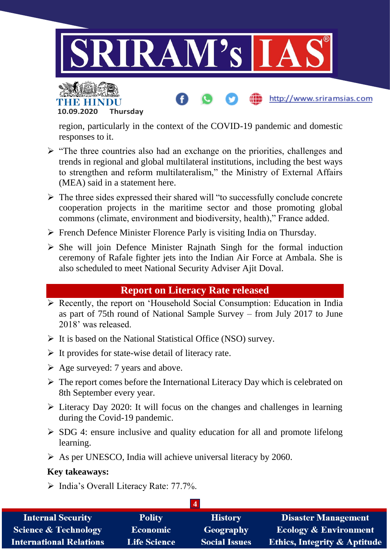



region, particularly in the context of the COVID-19 pandemic and domestic responses to it.

http://www.sriramsias.com

- $\triangleright$  "The three countries also had an exchange on the priorities, challenges and trends in regional and global multilateral institutions, including the best ways to strengthen and reform multilateralism," the Ministry of External Affairs (MEA) said in a statement here.
- $\triangleright$  The three sides expressed their shared will "to successfully conclude concrete" cooperation projects in the maritime sector and those promoting global commons (climate, environment and biodiversity, health)," France added.
- $\triangleright$  French Defence Minister Florence Parly is visiting India on Thursday.
- $\triangleright$  She will join Defence Minister Rajnath Singh for the formal induction ceremony of Rafale fighter jets into the Indian Air Force at Ambala. She is also scheduled to meet National Security Adviser Ajit Doval.

# **Report on Literacy Rate released**

- $\triangleright$  Recently, the report on 'Household Social Consumption: Education in India as part of 75th round of National Sample Survey – from July 2017 to June 2018' was released.
- $\triangleright$  It is based on the National Statistical Office (NSO) survey.
- $\triangleright$  It provides for state-wise detail of literacy rate.
- $\triangleright$  Age surveyed: 7 years and above.
- $\triangleright$  The report comes before the International Literacy Day which is celebrated on 8th September every year.
- $\triangleright$  Literacy Day 2020: It will focus on the changes and challenges in learning during the Covid-19 pandemic.
- $\triangleright$  SDG 4: ensure inclusive and quality education for all and promote lifelong learning.
- $\triangleright$  As per UNESCO, India will achieve universal literacy by 2060.

#### **Key takeaways:**

 $\triangleright$  India's Overall Literacy Rate: 77.7%.

| <b>Internal Security</b>        | <b>Polity</b>       | <b>History</b>       | <b>Disaster Management</b>              |
|---------------------------------|---------------------|----------------------|-----------------------------------------|
| <b>Science &amp; Technology</b> | <b>Economic</b>     | Geography            | <b>Ecology &amp; Environment</b>        |
| <b>International Relations</b>  | <b>Life Science</b> | <b>Social Issues</b> | <b>Ethics, Integrity &amp; Aptitude</b> |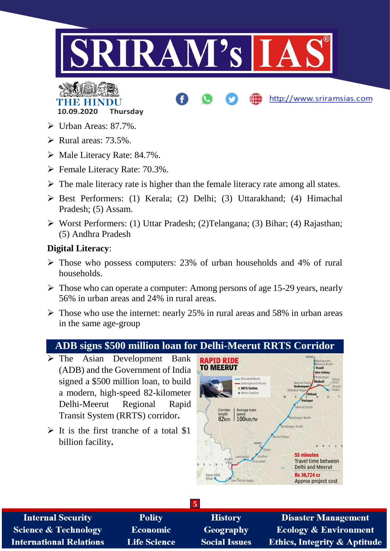

# **THE REAL 10.09.2020 Thursday**

- $\triangleright$  Urban Areas: 87.7%.
- $\triangleright$  Rural areas: 73.5%.
- Male Literacy Rate: 84.7%.
- $\triangleright$  Female Literacy Rate: 70.3%.
- $\triangleright$  The male literacy rate is higher than the female literacy rate among all states.
- Best Performers: (1) Kerala; (2) Delhi; (3) Uttarakhand; (4) Himachal Pradesh; (5) Assam.
- Worst Performers: (1) Uttar Pradesh; (2)Telangana; (3) Bihar; (4) Rajasthan; (5) Andhra Pradesh

## **Digital Literacy**:

- $\triangleright$  Those who possess computers: 23% of urban households and 4% of rural households.
- $\triangleright$  Those who can operate a computer: Among persons of age 15-29 years, nearly 56% in urban areas and 24% in rural areas.
- $\triangleright$  Those who use the internet: nearly 25% in rural areas and 58% in urban areas in the same age-group

# **ADB signs \$500 million loan for Delhi-Meerut RRTS Corridor**

- $\triangleright$  The Asian Development Bank (ADB) and the Government of India signed a \$500 million loan, to build a modern, high-speed 82-kilometer Delhi-Meerut Regional Rapid Transit System (RRTS) corridor**.**
- $\triangleright$  It is the first tranche of a total \$1 billion facility**.**



http://www.sriramsias.com

| <b>Internal Security</b>        | <b>Polity</b>       | <b>History</b>       | <b>Disaster Management</b>              |
|---------------------------------|---------------------|----------------------|-----------------------------------------|
| <b>Science &amp; Technology</b> | <b>Economic</b>     | Geography            | <b>Ecology &amp; Environment</b>        |
| <b>International Relations</b>  | <b>Life Science</b> | <b>Social Issues</b> | <b>Ethics, Integrity &amp; Aptitude</b> |